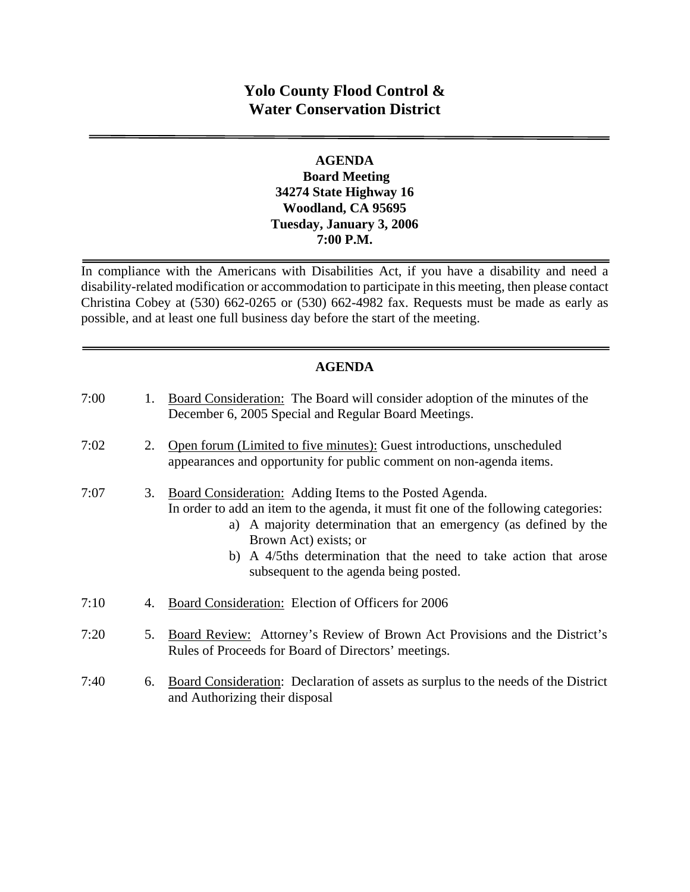# **Yolo County Flood Control & Water Conservation District**

#### **AGENDA Board Meeting 34274 State Highway 16 Woodland, CA 95695 Tuesday, January 3, 2006 7:00 P.M.**

In compliance with the Americans with Disabilities Act, if you have a disability and need a disability-related modification or accommodation to participate in this meeting, then please contact Christina Cobey at (530) 662-0265 or (530) 662-4982 fax. Requests must be made as early as possible, and at least one full business day before the start of the meeting.

## **AGENDA**

| 7:00 | 1. | Board Consideration: The Board will consider adoption of the minutes of the<br>December 6, 2005 Special and Regular Board Meetings.                                                                                                                                                                                                                        |
|------|----|------------------------------------------------------------------------------------------------------------------------------------------------------------------------------------------------------------------------------------------------------------------------------------------------------------------------------------------------------------|
| 7:02 | 2. | Open forum (Limited to five minutes): Guest introductions, unscheduled<br>appearances and opportunity for public comment on non-agenda items.                                                                                                                                                                                                              |
| 7:07 | 3. | Board Consideration: Adding Items to the Posted Agenda.<br>In order to add an item to the agenda, it must fit one of the following categories:<br>a) A majority determination that an emergency (as defined by the<br>Brown Act) exists; or<br>b) A 4/5ths determination that the need to take action that arose<br>subsequent to the agenda being posted. |
| 7:10 | 4. | Board Consideration: Election of Officers for 2006                                                                                                                                                                                                                                                                                                         |
| 7:20 | 5. | Board Review: Attorney's Review of Brown Act Provisions and the District's<br>Rules of Proceeds for Board of Directors' meetings.                                                                                                                                                                                                                          |
| 7:40 | 6. | Board Consideration: Declaration of assets as surplus to the needs of the District<br>and Authorizing their disposal                                                                                                                                                                                                                                       |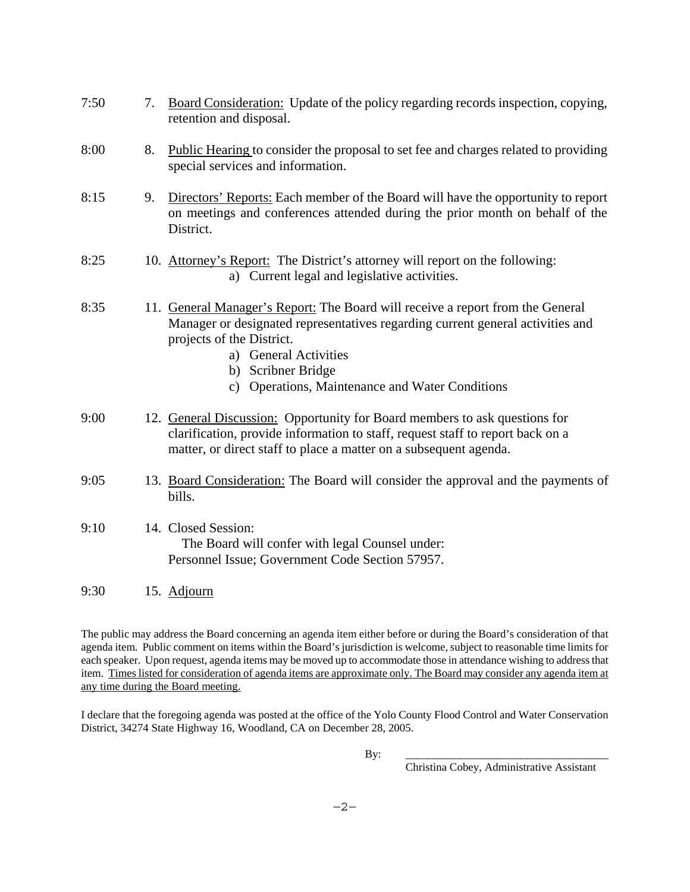| 7:50 | 7. | Board Consideration: Update of the policy regarding records inspection, copying,<br>retention and disposal.                                                                                                                                                                                                    |
|------|----|----------------------------------------------------------------------------------------------------------------------------------------------------------------------------------------------------------------------------------------------------------------------------------------------------------------|
| 8:00 | 8. | Public Hearing to consider the proposal to set fee and charges related to providing<br>special services and information.                                                                                                                                                                                       |
| 8:15 | 9. | Directors' Reports: Each member of the Board will have the opportunity to report<br>on meetings and conferences attended during the prior month on behalf of the<br>District.                                                                                                                                  |
| 8:25 |    | 10. Attorney's Report: The District's attorney will report on the following:<br>a) Current legal and legislative activities.                                                                                                                                                                                   |
| 8:35 |    | 11. General Manager's Report: The Board will receive a report from the General<br>Manager or designated representatives regarding current general activities and<br>projects of the District.<br>a) General Activities<br>b) Scribner Bridge<br>Operations, Maintenance and Water Conditions<br>$\mathbf{c}$ ) |
| 9:00 |    | 12. General Discussion: Opportunity for Board members to ask questions for<br>clarification, provide information to staff, request staff to report back on a<br>matter, or direct staff to place a matter on a subsequent agenda.                                                                              |
| 9:05 |    | 13. Board Consideration: The Board will consider the approval and the payments of<br>bills.                                                                                                                                                                                                                    |
| 9:10 |    | 14. Closed Session:<br>The Board will confer with legal Counsel under:<br>Personnel Issue; Government Code Section 57957.                                                                                                                                                                                      |
| 9:30 |    | 15. Adjourn                                                                                                                                                                                                                                                                                                    |

The public may address the Board concerning an agenda item either before or during the Board's consideration of that agenda item. Public comment on items within the Board's jurisdiction is welcome, subject to reasonable time limits for each speaker. Upon request, agenda items may be moved up to accommodate those in attendance wishing to address that item. Times listed for consideration of agenda items are approximate only. The Board may consider any agenda item at any time during the Board meeting.

I declare that the foregoing agenda was posted at the office of the Yolo County Flood Control and Water Conservation District, 34274 State Highway 16, Woodland, CA on December 28, 2005.

By: \_\_\_\_\_\_\_\_\_\_\_\_\_\_\_\_\_\_\_\_\_\_\_\_\_\_\_\_\_\_\_\_\_\_\_\_\_

Christina Cobey, Administrative Assistant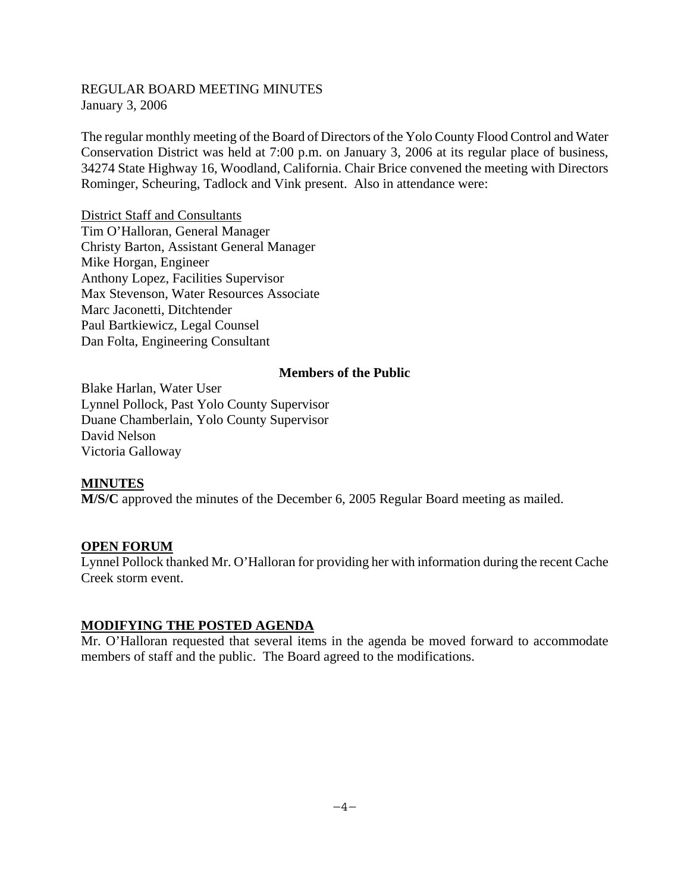## REGULAR BOARD MEETING MINUTES January 3, 2006

The regular monthly meeting of the Board of Directors of the Yolo County Flood Control and Water Conservation District was held at 7:00 p.m. on January 3, 2006 at its regular place of business, 34274 State Highway 16, Woodland, California. Chair Brice convened the meeting with Directors Rominger, Scheuring, Tadlock and Vink present. Also in attendance were:

District Staff and Consultants Tim O'Halloran, General Manager Christy Barton, Assistant General Manager Mike Horgan, Engineer Anthony Lopez, Facilities Supervisor Max Stevenson, Water Resources Associate Marc Jaconetti, Ditchtender Paul Bartkiewicz, Legal Counsel Dan Folta, Engineering Consultant

#### **Members of the Public**

Blake Harlan, Water User Lynnel Pollock, Past Yolo County Supervisor Duane Chamberlain, Yolo County Supervisor David Nelson Victoria Galloway

## **MINUTES**

**M/S/C** approved the minutes of the December 6, 2005 Regular Board meeting as mailed.

## **OPEN FORUM**

Lynnel Pollock thanked Mr. O'Halloran for providing her with information during the recent Cache Creek storm event.

## **MODIFYING THE POSTED AGENDA**

Mr. O'Halloran requested that several items in the agenda be moved forward to accommodate members of staff and the public. The Board agreed to the modifications.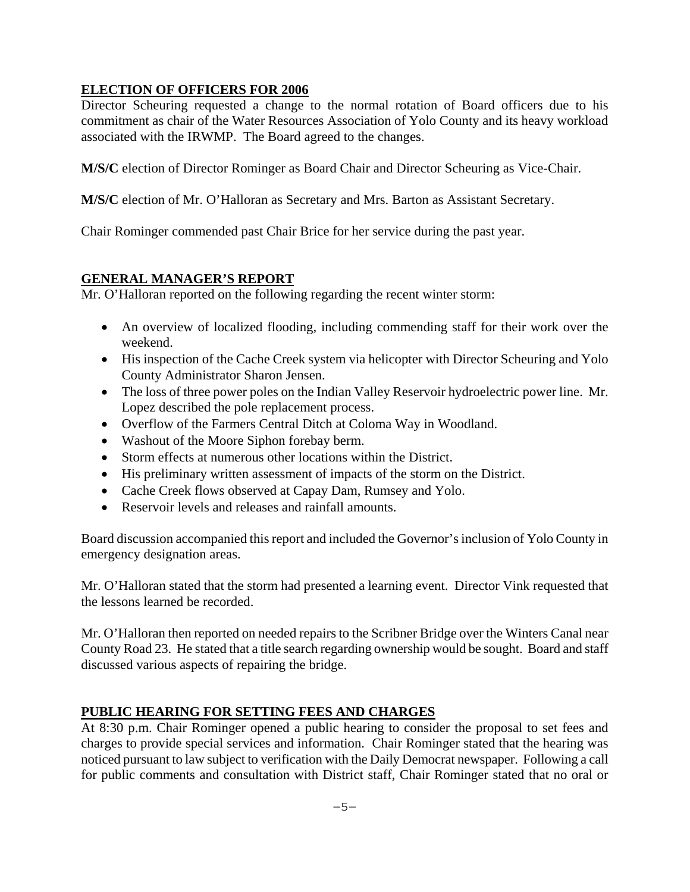## **ELECTION OF OFFICERS FOR 2006**

Director Scheuring requested a change to the normal rotation of Board officers due to his commitment as chair of the Water Resources Association of Yolo County and its heavy workload associated with the IRWMP. The Board agreed to the changes.

**M/S/C** election of Director Rominger as Board Chair and Director Scheuring as Vice-Chair.

**M/S/C** election of Mr. O'Halloran as Secretary and Mrs. Barton as Assistant Secretary.

Chair Rominger commended past Chair Brice for her service during the past year.

## **GENERAL MANAGER'S REPORT**

Mr. O'Halloran reported on the following regarding the recent winter storm:

- An overview of localized flooding, including commending staff for their work over the weekend.
- His inspection of the Cache Creek system via helicopter with Director Scheuring and Yolo County Administrator Sharon Jensen.
- The loss of three power poles on the Indian Valley Reservoir hydroelectric power line. Mr. Lopez described the pole replacement process.
- Overflow of the Farmers Central Ditch at Coloma Way in Woodland.
- Washout of the Moore Siphon forebay berm.
- Storm effects at numerous other locations within the District.
- His preliminary written assessment of impacts of the storm on the District.
- Cache Creek flows observed at Capay Dam, Rumsey and Yolo.
- Reservoir levels and releases and rainfall amounts.

Board discussion accompanied this report and included the Governor's inclusion of Yolo County in emergency designation areas.

Mr. O'Halloran stated that the storm had presented a learning event. Director Vink requested that the lessons learned be recorded.

Mr. O'Halloran then reported on needed repairs to the Scribner Bridge over the Winters Canal near County Road 23. He stated that a title search regarding ownership would be sought. Board and staff discussed various aspects of repairing the bridge.

## **PUBLIC HEARING FOR SETTING FEES AND CHARGES**

At 8:30 p.m. Chair Rominger opened a public hearing to consider the proposal to set fees and charges to provide special services and information. Chair Rominger stated that the hearing was noticed pursuant to law subject to verification with the Daily Democrat newspaper. Following a call for public comments and consultation with District staff, Chair Rominger stated that no oral or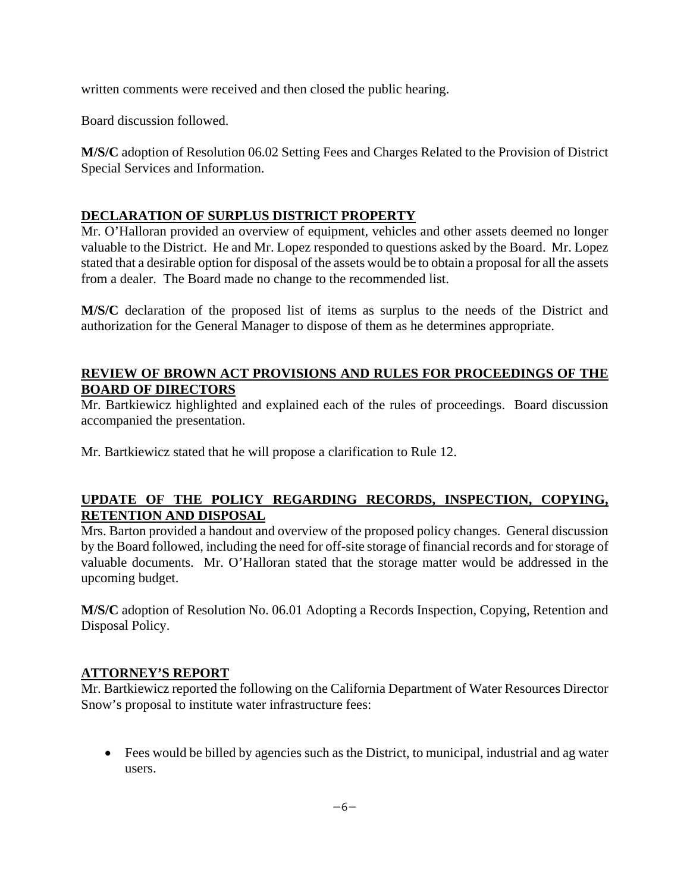written comments were received and then closed the public hearing.

Board discussion followed.

**M/S/C** adoption of Resolution 06.02 Setting Fees and Charges Related to the Provision of District Special Services and Information.

# **DECLARATION OF SURPLUS DISTRICT PROPERTY**

Mr. O'Halloran provided an overview of equipment, vehicles and other assets deemed no longer valuable to the District. He and Mr. Lopez responded to questions asked by the Board. Mr. Lopez stated that a desirable option for disposal of the assets would be to obtain a proposal for all the assets from a dealer. The Board made no change to the recommended list.

**M/S/C** declaration of the proposed list of items as surplus to the needs of the District and authorization for the General Manager to dispose of them as he determines appropriate.

## **REVIEW OF BROWN ACT PROVISIONS AND RULES FOR PROCEEDINGS OF THE BOARD OF DIRECTORS**

Mr. Bartkiewicz highlighted and explained each of the rules of proceedings. Board discussion accompanied the presentation.

Mr. Bartkiewicz stated that he will propose a clarification to Rule 12.

## **UPDATE OF THE POLICY REGARDING RECORDS, INSPECTION, COPYING, RETENTION AND DISPOSAL**

Mrs. Barton provided a handout and overview of the proposed policy changes. General discussion by the Board followed, including the need for off-site storage of financial records and for storage of valuable documents. Mr. O'Halloran stated that the storage matter would be addressed in the upcoming budget.

**M/S/C** adoption of Resolution No. 06.01 Adopting a Records Inspection, Copying, Retention and Disposal Policy.

# **ATTORNEY'S REPORT**

Mr. Bartkiewicz reported the following on the California Department of Water Resources Director Snow's proposal to institute water infrastructure fees:

 Fees would be billed by agencies such as the District, to municipal, industrial and ag water users.